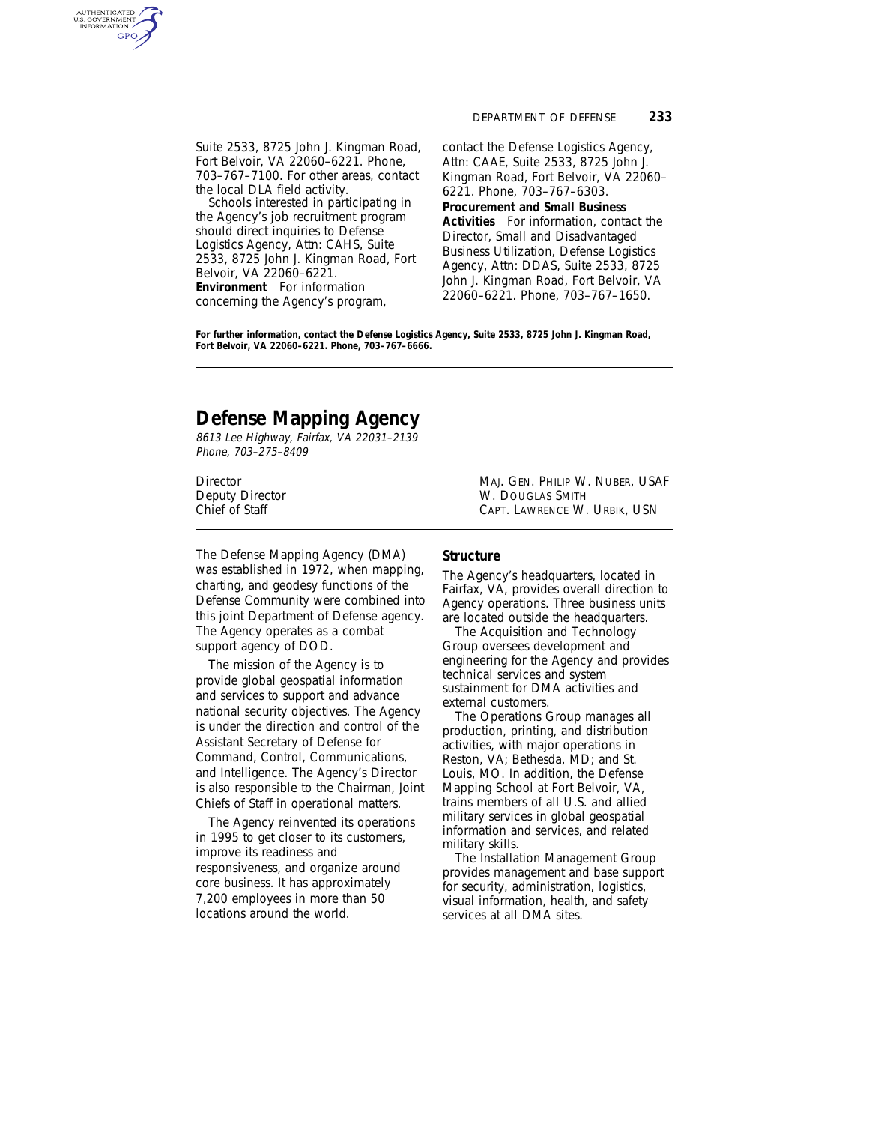Suite 2533, 8725 John J. Kingman Road, Fort Belvoir, VA 22060–6221. Phone, 703–767–7100. For other areas, contact the local DLA field activity.

Schools interested in participating in the Agency's job recruitment program should direct inquiries to Defense Logistics Agency, Attn: CAHS, Suite 2533, 8725 John J. Kingman Road, Fort Belvoir, VA 22060–6221. **Environment** For information concerning the Agency's program,

contact the Defense Logistics Agency, Attn: CAAE, Suite 2533, 8725 John J. Kingman Road, Fort Belvoir, VA 22060– 6221. Phone, 703–767–6303. **Procurement and Small Business Activities** For information, contact the Director, Small and Disadvantaged Business Utilization, Defense Logistics Agency, Attn: DDAS, Suite 2533, 8725 John J. Kingman Road, Fort Belvoir, VA 22060–6221. Phone, 703–767–1650.

**For further information, contact the Defense Logistics Agency, Suite 2533, 8725 John J. Kingman Road, Fort Belvoir, VA 22060–6221. Phone, 703–767–6666.**

# **Defense Mapping Agency**

8613 Lee Highway, Fairfax, VA 22031–2139 Phone, 703–275–8409

AUTHENTICATED<br>U.S. GOVERNMENT<br>INFORMATION **GPO** 

> The Defense Mapping Agency (DMA) was established in 1972, when mapping, charting, and geodesy functions of the Defense Community were combined into this joint Department of Defense agency. The Agency operates as a combat support agency of DOD.

> The mission of the Agency is to provide global geospatial information and services to support and advance national security objectives. The Agency is under the direction and control of the Assistant Secretary of Defense for Command, Control, Communications, and Intelligence. The Agency's Director is also responsible to the Chairman, Joint Chiefs of Staff in operational matters.

The Agency reinvented its operations in 1995 to get closer to its customers, improve its readiness and responsiveness, and organize around core business. It has approximately 7,200 employees in more than 50 locations around the world.

Director MAJ. GEN. PHILIP W. NUBER, USAF Deputy Director **Manufath Chief of Staff** Chief of Staff Chief of Staff Chief of Staff Chief Chief Chief Chief Chief Chief Chief Chief Chief Chief Chief Chief Chief Chief Chief Chief Chief Chief Chief Chief Chief Chief Chi CAPT. LAWRENCE W. URBIK, USN.

#### **Structure**

The Agency's headquarters, located in Fairfax, VA, provides overall direction to Agency operations. Three business units are located outside the headquarters.

The Acquisition and Technology Group oversees development and engineering for the Agency and provides technical services and system sustainment for DMA activities and external customers.

The Operations Group manages all production, printing, and distribution activities, with major operations in Reston, VA; Bethesda, MD; and St. Louis, MO. In addition, the Defense Mapping School at Fort Belvoir, VA, trains members of all U.S. and allied military services in global geospatial information and services, and related military skills.

The Installation Management Group provides management and base support for security, administration, logistics, visual information, health, and safety services at all DMA sites.